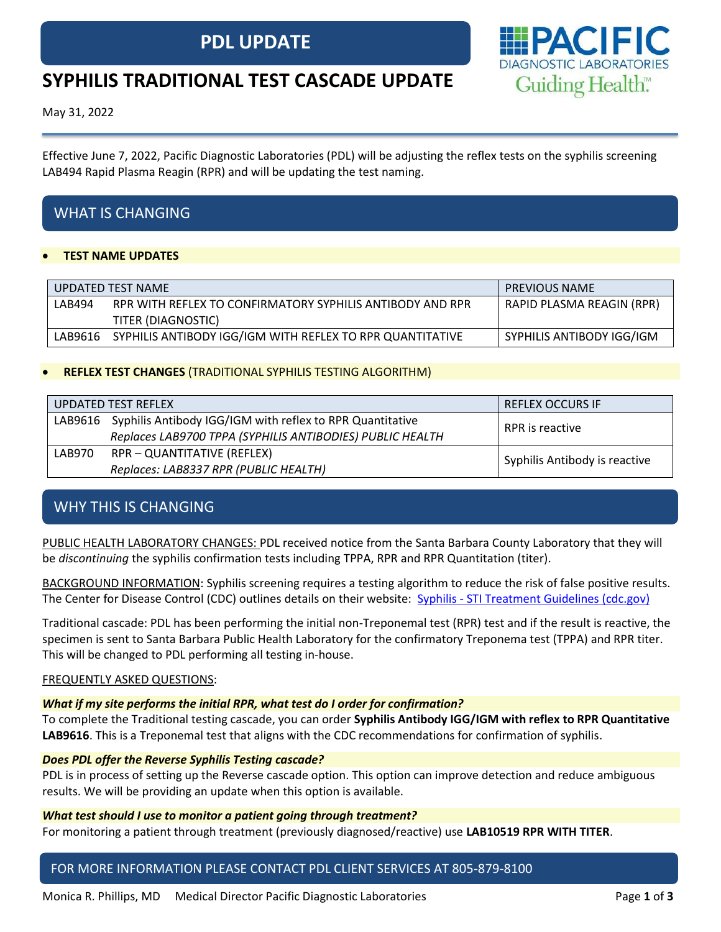# **PDL UPDATE**



# **SYPHILIS TRADITIONAL TEST CASCADE UPDATE**

May 31, 2022

Effective June 7, 2022, Pacific Diagnostic Laboratories (PDL) will be adjusting the reflex tests on the syphilis screening LAB494 Rapid Plasma Reagin (RPR) and will be updating the test naming.

# WHAT IS CHANGING

## • **TEST NAME UPDATES**

|         | UPDATED TEST NAME                                         | <b>PREVIOUS NAME</b>      |  |  |
|---------|-----------------------------------------------------------|---------------------------|--|--|
| LAB494  | RPR WITH REFLEX TO CONFIRMATORY SYPHILIS ANTIBODY AND RPR | RAPID PLASMA REAGIN (RPR) |  |  |
|         | TITER (DIAGNOSTIC)                                        |                           |  |  |
| LAB9616 | SYPHILIS ANTIBODY IGG/IGM WITH REFLEX TO RPR QUANTITATIVE | SYPHILIS ANTIBODY IGG/IGM |  |  |

## • **REFLEX TEST CHANGES** (TRADITIONAL SYPHILIS TESTING ALGORITHM)

|        | UPDATED TEST REFLEX                                               | <b>REFLEX OCCURS IF</b>       |  |  |
|--------|-------------------------------------------------------------------|-------------------------------|--|--|
|        | LAB9616 Syphilis Antibody IGG/IGM with reflex to RPR Quantitative | RPR is reactive               |  |  |
|        | Replaces LAB9700 TPPA (SYPHILIS ANTIBODIES) PUBLIC HEALTH         |                               |  |  |
| LAB970 | RPR - QUANTITATIVE (REFLEX)                                       | Syphilis Antibody is reactive |  |  |
|        | Replaces: LAB8337 RPR (PUBLIC HEALTH)                             |                               |  |  |

# WHY THIS IS CHANGING

PUBLIC HEALTH LABORATORY CHANGES: PDL received notice from the Santa Barbara County Laboratory that they will be *discontinuing* the syphilis confirmation tests including TPPA, RPR and RPR Quantitation (titer).

BACKGROUND INFORMATION: Syphilis screening requires a testing algorithm to reduce the risk of false positive results. The Center for Disease Control (CDC) outlines details on their website: Syphilis - [STI Treatment Guidelines \(cdc.gov\)](https://www.cdc.gov/std/treatment-guidelines/syphilis.htm)

Traditional cascade: PDL has been performing the initial non-Treponemal test (RPR) test and if the result is reactive, the specimen is sent to Santa Barbara Public Health Laboratory for the confirmatory Treponema test (TPPA) and RPR titer. This will be changed to PDL performing all testing in-house.

## FREQUENTLY ASKED QUESTIONS:

## *What if my site performs the initial RPR, what test do I order for confirmation?*

To complete the Traditional testing cascade, you can order **Syphilis Antibody IGG/IGM with reflex to RPR Quantitative LAB9616**. This is a Treponemal test that aligns with the CDC recommendations for confirmation of syphilis.

## *Does PDL offer the Reverse Syphilis Testing cascade?*

PDL is in process of setting up the Reverse cascade option. This option can improve detection and reduce ambiguous results. We will be providing an update when this option is available.

#### *What test should I use to monitor a patient going through treatment?*

For monitoring a patient through treatment (previously diagnosed/reactive) use **LAB10519 RPR WITH TITER**.

## FOR MORE INFORMATION PLEASE CONTACT PDL CLIENT SERVICES AT 805-879-8100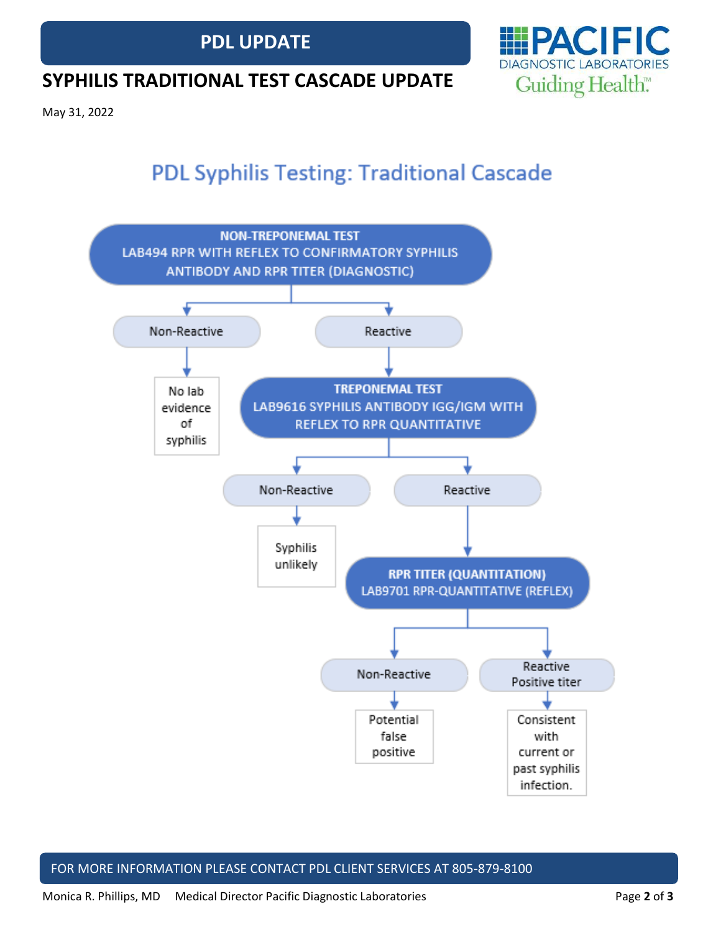



# **SYPHILIS TRADITIONAL TEST CASCADE UPDATE**

May 31, 2022

# **PDL Syphilis Testing: Traditional Cascade**



## FOR MORE INFORMATION PLEASE CONTACT PDL CLIENT SERVICES AT 805-879-8100